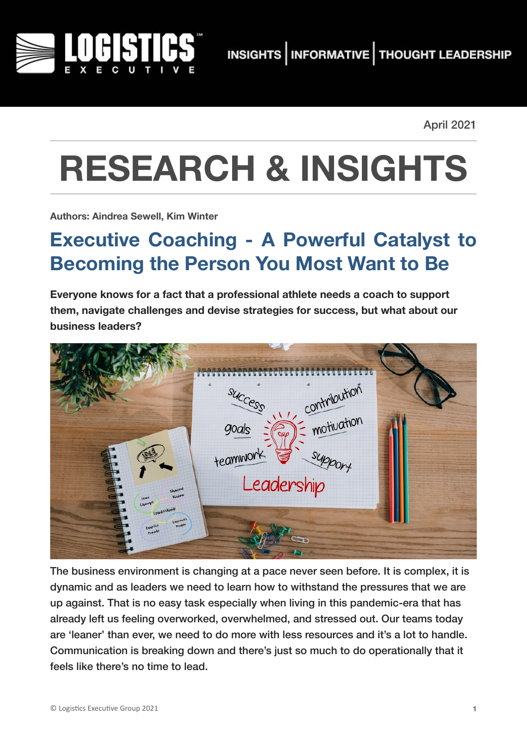

April 2021

# **RESEARCH & INSIGHTS**

**Authors: Aindrea Sewell, Kim Winter**

# **Executive Coaching - A Powerful Catalyst to Becoming the Person You Most Want to Be**

**Everyone knows for a fact that a professional athlete needs a coach to support them, navigate challenges and devise strategies for success, but what about our business leaders?** 

|                                                                   | contribution<br>SUCCESS    |  |
|-------------------------------------------------------------------|----------------------------|--|
|                                                                   | $\sqrt{7}$<br>goals<br>000 |  |
|                                                                   | teamwork<br>support        |  |
| shared<br>Vision<br><b>Load</b><br>Change                         | Leadership                 |  |
| Leaderhoup<br><b>EMPOWER</b><br><b>VOORL</b><br>Inspire<br>Pospic |                            |  |
|                                                                   |                            |  |

The business environment is changing at a pace never seen before. It is complex, it is dynamic and as leaders we need to learn how to withstand the pressures that we are up against. That is no easy task especially when living in this pandemic-era that has already left us feeling overworked, overwhelmed, and stressed out. Our teams today are 'leaner' than ever, we need to do more with less resources and it's a lot to handle. Communication is breaking down and there's just so much to do operationally that it feels like there's no time to lead.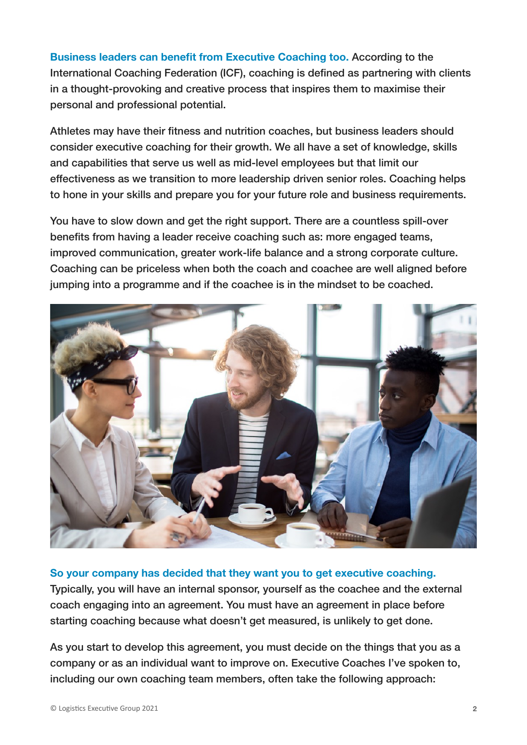**Business leaders can benefit from Executive Coaching too.** According to the International Coaching Federation (ICF), coaching is defined as partnering with clients in a thought-provoking and creative process that inspires them to maximise their personal and professional potential.

Athletes may have their fitness and nutrition coaches, but business leaders should consider executive coaching for their growth. We all have a set of knowledge, skills and capabilities that serve us well as mid-level employees but that limit our effectiveness as we transition to more leadership driven senior roles. Coaching helps to hone in your skills and prepare you for your future role and business requirements.

You have to slow down and get the right support. There are a countless spill-over benefits from having a leader receive coaching such as: more engaged teams, improved communication, greater work-life balance and a strong corporate culture. Coaching can be priceless when both the coach and coachee are well aligned before jumping into a programme and if the coachee is in the mindset to be coached.



#### **So your company has decided that they want you to get executive coaching.**

Typically, you will have an internal sponsor, yourself as the coachee and the external coach engaging into an agreement. You must have an agreement in place before starting coaching because what doesn't get measured, is unlikely to get done.

As you start to develop this agreement, you must decide on the things that you as a company or as an individual want to improve on. Executive Coaches I've spoken to, including our own coaching team members, often take the following approach: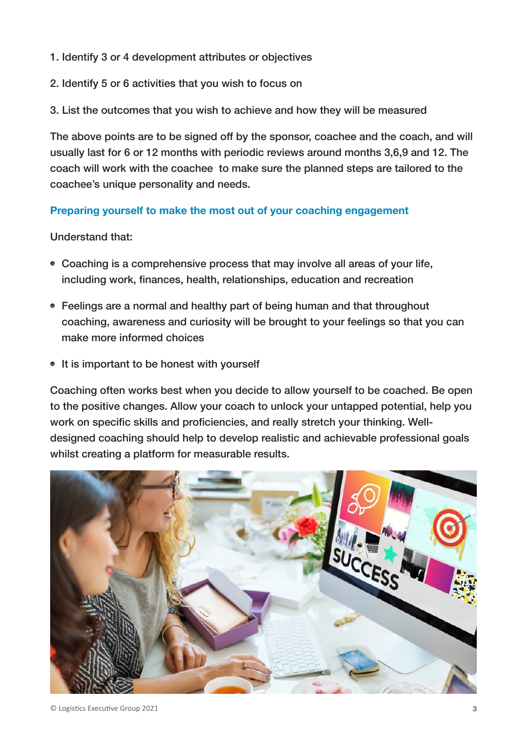- 1. Identify 3 or 4 development attributes or objectives
- 2. Identify 5 or 6 activities that you wish to focus on
- 3. List the outcomes that you wish to achieve and how they will be measured

The above points are to be signed off by the sponsor, coachee and the coach, and will usually last for 6 or 12 months with periodic reviews around months 3,6,9 and 12. The coach will work with the coachee to make sure the planned steps are tailored to the coachee's unique personality and needs.

#### **Preparing yourself to make the most out of your coaching engagement**

Understand that:

- Coaching is a comprehensive process that may involve all areas of your life, including work, finances, health, relationships, education and recreation
- Feelings are a normal and healthy part of being human and that throughout coaching, awareness and curiosity will be brought to your feelings so that you can make more informed choices
- It is important to be honest with yourself

Coaching often works best when you decide to allow yourself to be coached. Be open to the positive changes. Allow your coach to unlock your untapped potential, help you work on specific skills and proficiencies, and really stretch your thinking. Welldesigned coaching should help to develop realistic and achievable professional goals whilst creating a platform for measurable results.

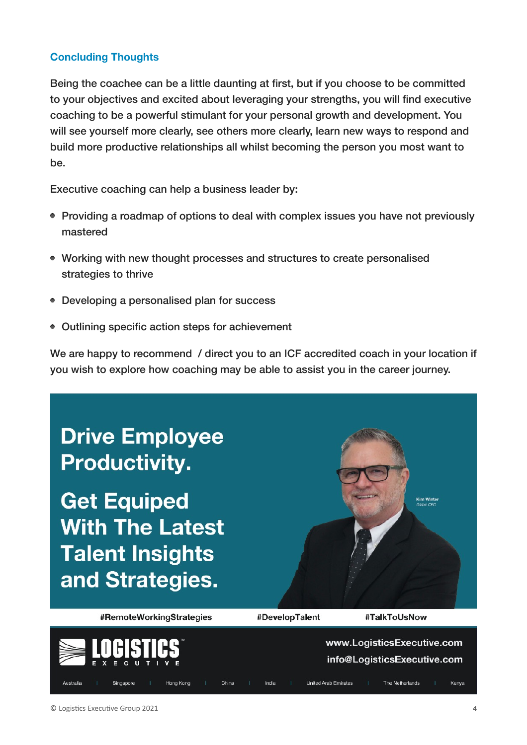### **Concluding Thoughts**

Being the coachee can be a little daunting at first, but if you choose to be committed to your objectives and excited about leveraging your strengths, you will find executive coaching to be a powerful stimulant for your personal growth and development. You will see yourself more clearly, see others more clearly, learn new ways to respond and build more productive relationships all whilst becoming the person you most want to be.

Executive coaching can help a business leader by:

- Providing a roadmap of options to deal with complex issues you have not previously mastered
- Working with new thought processes and structures to create personalised strategies to thrive
- Developing a personalised plan for success
- Outlining specific action steps for achievement

We are happy to recommend / direct you to an ICF accredited coach in your location if you wish to explore how coaching may be able to assist you in the career journey.



info@LogisticsExecutive.com